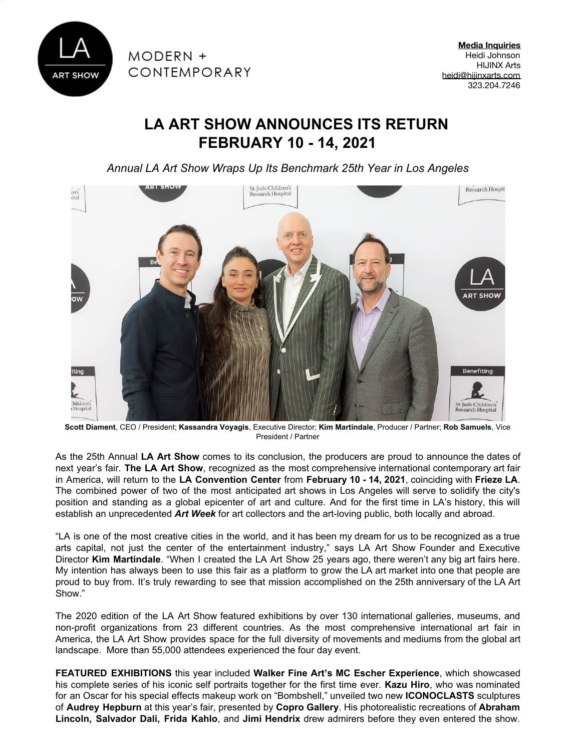

 $MODERN +$ CONTEMPORARY

## **LA ART SHOW ANNOUNCES ITS RETURN FEBRUARY 10 - 14, 2021**

*Annual LA Art Show Wraps Up Its Benchmark 25th Year in Los Angeles*



**Scott Diament**, CEO / President; **Kassandra Voyagis**, Executive Director; **Kim Martindale**, Producer / Partner; **Rob Samuels**, Vice President / Partner

As the 25th Annual **LA Art Show** comes to its conclusion, the producers are proud to announce the dates of next year's fair. **The LA Art Show**, recognized as the most comprehensive international contemporary art fair in America, will return to the **LA Convention Center** from **February 10 - 14, 2021**, coinciding with **Frieze LA**. The combined power of two of the most anticipated art shows in Los Angeles will serve to solidify the city's position and standing as a global epicenter of art and culture. And for the first time in LA's history, this will establish an unprecedented *Art Week* for art collectors and the art-loving public, both locally and abroad.

"LA is one of the most creative cities in the world, and it has been my dream for us to be recognized as a true arts capital, not just the center of the entertainment industry," says LA Art Show Founder and Executive Director **Kim Martindale**. "When I created the LA Art Show 25 years ago, there weren't any big art fairs here. My intention has always been to use this fair as a platform to grow the LA art market into one that people are proud to buy from. It's truly rewarding to see that mission accomplished on the 25th anniversary of the LA Art Show."

The 2020 edition of the LA Art Show featured exhibitions by over 130 international galleries, museums, and non-profit organizations from 23 different countries. As the most comprehensive international art fair in America, the LA Art Show provides space for the full diversity of movements and mediums from the global art landscape. More than 55,000 attendees experienced the four day event.

**FEATURED EXHIBITIONS** this year included **Walker Fine Art's MC Escher Experience**, which showcased his complete series of his iconic self portraits together for the first time ever. **Kazu Hiro**, who was nominated for an Oscar for his special effects makeup work on "Bombshell," unveiled two new **ICONOCLASTS** sculptures of **Audrey Hepburn** at this year's fair, presented by **Copro Gallery**. His photorealistic recreations of **Abraham Lincoln, Salvador Dali, Frida Kahlo**, and **Jimi Hendrix** drew admirers before they even entered the show.